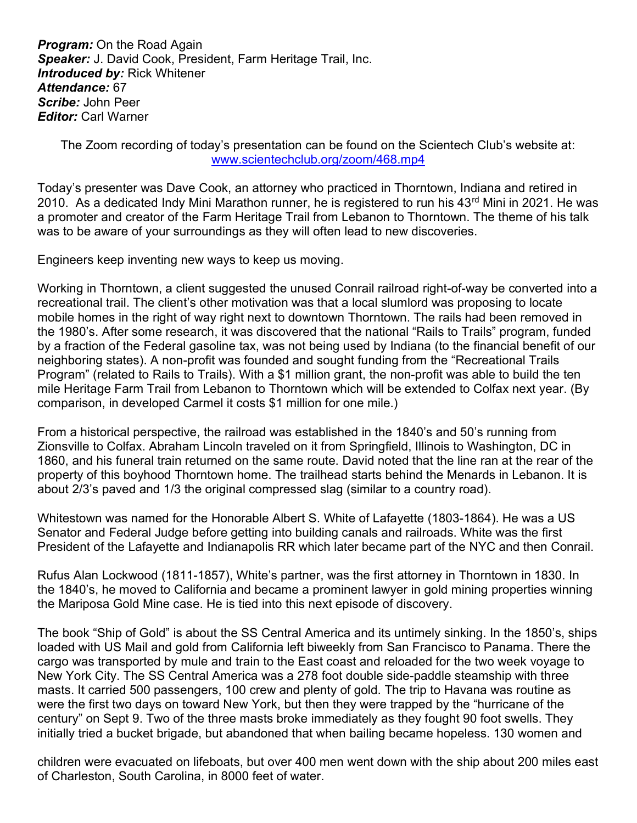**Program:** On the Road Again Speaker: J. David Cook, President, Farm Heritage Trail, Inc. **Introduced by: Rick Whitener** Attendance: 67 Scribe: John Peer **Editor: Carl Warner** 

The Zoom recording of today's presentation can be found on the Scientech Club's website at: www.scientechclub.org/zoom/468.mp4

Today's presenter was Dave Cook, an attorney who practiced in Thorntown, Indiana and retired in 2010. As a dedicated Indy Mini Marathon runner, he is registered to run his 43<sup>rd</sup> Mini in 2021. He was a promoter and creator of the Farm Heritage Trail from Lebanon to Thorntown. The theme of his talk was to be aware of your surroundings as they will often lead to new discoveries.

Engineers keep inventing new ways to keep us moving.

Working in Thorntown, a client suggested the unused Conrail railroad right-of-way be converted into a recreational trail. The client's other motivation was that a local slumlord was proposing to locate mobile homes in the right of way right next to downtown Thorntown. The rails had been removed in the 1980's. After some research, it was discovered that the national "Rails to Trails" program, funded by a fraction of the Federal gasoline tax, was not being used by Indiana (to the financial benefit of our neighboring states). A non-profit was founded and sought funding from the "Recreational Trails Program" (related to Rails to Trails). With a \$1 million grant, the non-profit was able to build the ten mile Heritage Farm Trail from Lebanon to Thorntown which will be extended to Colfax next year. (By comparison, in developed Carmel it costs \$1 million for one mile.)

From a historical perspective, the railroad was established in the 1840's and 50's running from Zionsville to Colfax. Abraham Lincoln traveled on it from Springfield, Illinois to Washington, DC in 1860, and his funeral train returned on the same route. David noted that the line ran at the rear of the property of this boyhood Thorntown home. The trailhead starts behind the Menards in Lebanon. It is about 2/3's paved and 1/3 the original compressed slag (similar to a country road).

Whitestown was named for the Honorable Albert S. White of Lafayette (1803-1864). He was a US Senator and Federal Judge before getting into building canals and railroads. White was the first President of the Lafayette and Indianapolis RR which later became part of the NYC and then Conrail.

Rufus Alan Lockwood (1811-1857), White's partner, was the first attorney in Thorntown in 1830. In the 1840's, he moved to California and became a prominent lawyer in gold mining properties winning the Mariposa Gold Mine case. He is tied into this next episode of discovery.

The book "Ship of Gold" is about the SS Central America and its untimely sinking. In the 1850's, ships loaded with US Mail and gold from California left biweekly from San Francisco to Panama. There the cargo was transported by mule and train to the East coast and reloaded for the two week voyage to New York City. The SS Central America was a 278 foot double side-paddle steamship with three masts. It carried 500 passengers, 100 crew and plenty of gold. The trip to Havana was routine as were the first two days on toward New York, but then they were trapped by the "hurricane of the century" on Sept 9. Two of the three masts broke immediately as they fought 90 foot swells. They initially tried a bucket brigade, but abandoned that when bailing became hopeless. 130 women and

children were evacuated on lifeboats, but over 400 men went down with the ship about 200 miles east of Charleston, South Carolina, in 8000 feet of water.